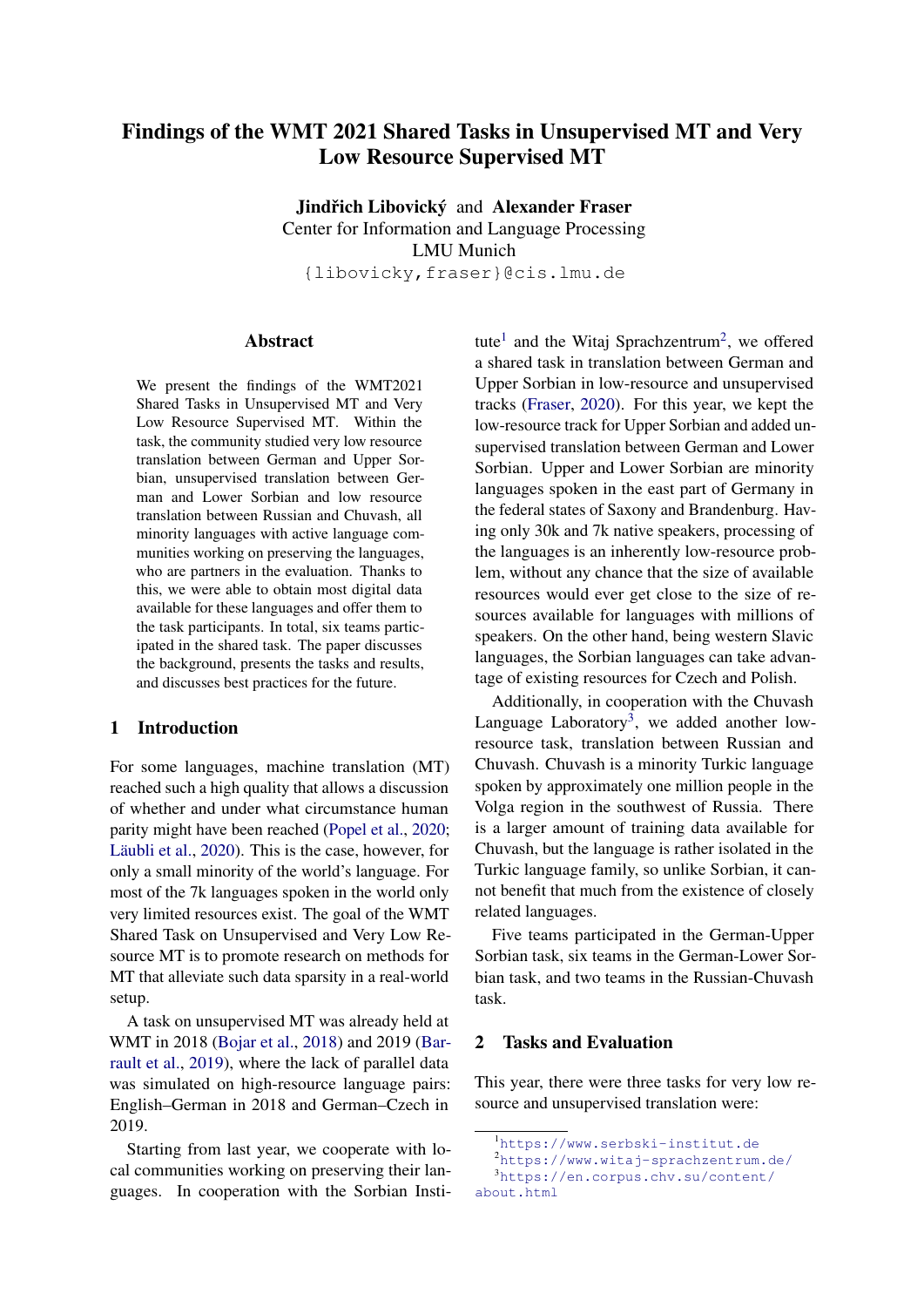# Findings of the WMT 2021 Shared Tasks in Unsupervised MT and Very Low Resource Supervised MT

Jindřich Libovický and Alexander Fraser Center for Information and Language Processing LMU Munich {libovicky,fraser}@cis.lmu.de

### Abstract

We present the findings of the WMT2021 Shared Tasks in Unsupervised MT and Very Low Resource Supervised MT. Within the task, the community studied very low resource translation between German and Upper Sorbian, unsupervised translation between German and Lower Sorbian and low resource translation between Russian and Chuvash, all minority languages with active language communities working on preserving the languages, who are partners in the evaluation. Thanks to this, we were able to obtain most digital data available for these languages and offer them to the task participants. In total, six teams participated in the shared task. The paper discusses the background, presents the tasks and results, and discusses best practices for the future.

### 1 Introduction

For some languages, machine translation (MT) reached such a high quality that allows a discussion of whether and under what circumstance human parity might have been reached [\(Popel et al.,](#page-5-0) [2020;](#page-5-0) [Läubli et al.,](#page-5-1) [2020\)](#page-5-1). This is the case, however, for only a small minority of the world's language. For most of the 7k languages spoken in the world only very limited resources exist. The goal of the WMT Shared Task on Unsupervised and Very Low Resource MT is to promote research on methods for MT that alleviate such data sparsity in a real-world setup.

A task on unsupervised MT was already held at WMT in 2018 [\(Bojar et al.,](#page-4-0) [2018\)](#page-4-0) and 2019 [\(Bar](#page-4-1)[rault et al.,](#page-4-1) [2019\)](#page-4-1), where the lack of parallel data was simulated on high-resource language pairs: English–German in 2018 and German–Czech in 2019.

Starting from last year, we cooperate with local communities working on preserving their languages. In cooperation with the Sorbian Insti-

tute<sup>[1](#page-0-0)</sup> and the Witaj Sprachzentrum<sup>[2](#page-0-1)</sup>, we offered a shared task in translation between German and Upper Sorbian in low-resource and unsupervised tracks [\(Fraser,](#page-5-2) [2020\)](#page-5-2). For this year, we kept the low-resource track for Upper Sorbian and added unsupervised translation between German and Lower Sorbian. Upper and Lower Sorbian are minority languages spoken in the east part of Germany in the federal states of Saxony and Brandenburg. Having only 30k and 7k native speakers, processing of the languages is an inherently low-resource problem, without any chance that the size of available resources would ever get close to the size of resources available for languages with millions of speakers. On the other hand, being western Slavic languages, the Sorbian languages can take advantage of existing resources for Czech and Polish.

Additionally, in cooperation with the Chuvash Language Laboratory<sup>[3](#page-0-2)</sup>, we added another lowresource task, translation between Russian and Chuvash. Chuvash is a minority Turkic language spoken by approximately one million people in the Volga region in the southwest of Russia. There is a larger amount of training data available for Chuvash, but the language is rather isolated in the Turkic language family, so unlike Sorbian, it cannot benefit that much from the existence of closely related languages.

Five teams participated in the German-Upper Sorbian task, six teams in the German-Lower Sorbian task, and two teams in the Russian-Chuvash task.

### <span id="page-0-3"></span>2 Tasks and Evaluation

This year, there were three tasks for very low resource and unsupervised translation were:

<span id="page-0-1"></span><span id="page-0-0"></span><sup>1</sup><https://www.serbski-institut.de>

<span id="page-0-2"></span><sup>2</sup><https://www.witaj-sprachzentrum.de/>

<sup>3</sup>[https://en.corpus.chv.su/content/](https://en.corpus.chv.su/content/about.html)

[about.html](https://en.corpus.chv.su/content/about.html)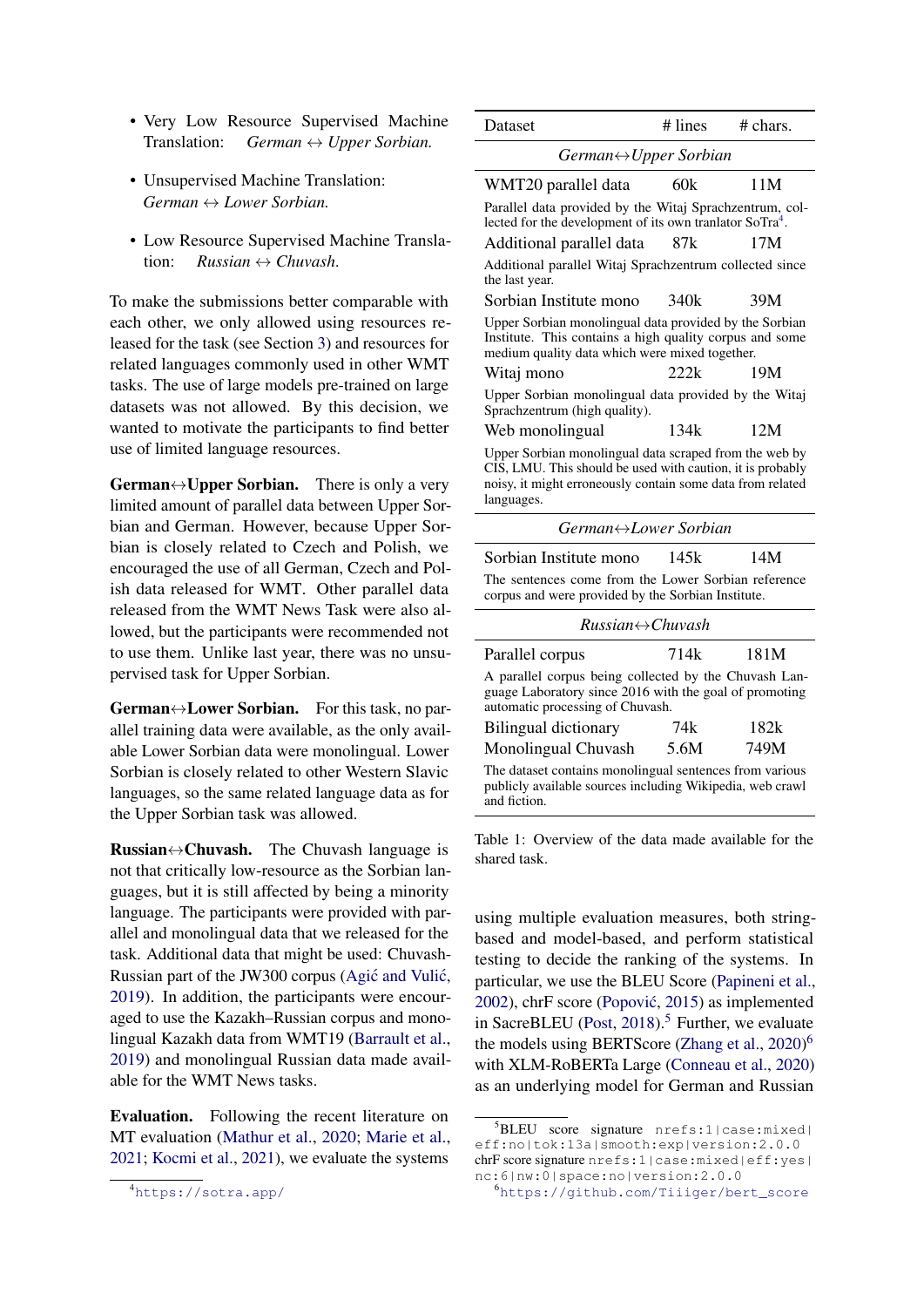- Very Low Resource Supervised Machine Translation: *German* ↔ *Upper Sorbian.*
- Unsupervised Machine Translation: *German* ↔ *Lower Sorbian.*
- Low Resource Supervised Machine Translation: *Russian* ↔ *Chuvash*.

To make the submissions better comparable with each other, we only allowed using resources released for the task (see Section [3\)](#page-2-0) and resources for related languages commonly used in other WMT tasks. The use of large models pre-trained on large datasets was not allowed. By this decision, we wanted to motivate the participants to find better use of limited language resources.

**German** $\leftrightarrow$ **Upper Sorbian.** There is only a very limited amount of parallel data between Upper Sorbian and German. However, because Upper Sorbian is closely related to Czech and Polish, we encouraged the use of all German, Czech and Polish data released for WMT. Other parallel data released from the WMT News Task were also allowed, but the participants were recommended not to use them. Unlike last year, there was no unsupervised task for Upper Sorbian.

**German** $\leftrightarrow$ **Lower Sorbian.** For this task, no parallel training data were available, as the only available Lower Sorbian data were monolingual. Lower Sorbian is closely related to other Western Slavic languages, so the same related language data as for the Upper Sorbian task was allowed.

Russian↔Chuvash. The Chuvash language is not that critically low-resource as the Sorbian languages, but it is still affected by being a minority language. The participants were provided with parallel and monolingual data that we released for the task. Additional data that might be used: Chuvash-Russian part of the JW300 corpus (Agić and Vulić, [2019\)](#page-4-2). In addition, the participants were encouraged to use the Kazakh–Russian corpus and monolingual Kazakh data from WMT19 [\(Barrault et al.,](#page-4-1) [2019\)](#page-4-1) and monolingual Russian data made available for the WMT News tasks.

Evaluation. Following the recent literature on MT evaluation [\(Mathur et al.,](#page-5-3) [2020;](#page-5-3) [Marie et al.,](#page-5-4) [2021;](#page-5-4) [Kocmi et al.,](#page-5-5) [2021\)](#page-5-5), we evaluate the systems

| Dataset                                                                                                                                                                                          | # lines | $#$ chars. |  |  |  |  |  |
|--------------------------------------------------------------------------------------------------------------------------------------------------------------------------------------------------|---------|------------|--|--|--|--|--|
| German <sup>↔</sup> Upper Sorbian                                                                                                                                                                |         |            |  |  |  |  |  |
| WMT20 parallel data                                                                                                                                                                              | 60k     | 11M        |  |  |  |  |  |
| Parallel data provided by the Witaj Sprachzentrum, col-<br>lected for the development of its own tranlator SoTra <sup>4</sup> .                                                                  |         |            |  |  |  |  |  |
| Additional parallel data                                                                                                                                                                         | 87k     | 17M        |  |  |  |  |  |
| Additional parallel Witaj Sprachzentrum collected since<br>the last year.                                                                                                                        |         |            |  |  |  |  |  |
| Sorbian Institute mono                                                                                                                                                                           | 340k    | 39M        |  |  |  |  |  |
| Upper Sorbian monolingual data provided by the Sorbian<br>Institute. This contains a high quality corpus and some<br>medium quality data which were mixed together.                              |         |            |  |  |  |  |  |
| Witaj mono                                                                                                                                                                                       | 222k    | 19M        |  |  |  |  |  |
| Upper Sorbian monolingual data provided by the Witaj<br>Sprachzentrum (high quality).                                                                                                            |         |            |  |  |  |  |  |
| Web monolingual                                                                                                                                                                                  | 134k    | 12M        |  |  |  |  |  |
| Upper Sorbian monolingual data scraped from the web by<br>CIS, LMU. This should be used with caution, it is probably<br>noisy, it might erroneously contain some data from related<br>languages. |         |            |  |  |  |  |  |
| German↔Lower Sorbian                                                                                                                                                                             |         |            |  |  |  |  |  |
| Sorbian Institute mono                                                                                                                                                                           | 145k    | 14M        |  |  |  |  |  |

| The sentences come from the Lower Sorbian reference |  |  |
|-----------------------------------------------------|--|--|
| corpus and were provided by the Sorbian Institute.  |  |  |

| $Russian \leftrightarrow Chuvash$                                                                                                                   |      |      |  |  |  |  |  |  |
|-----------------------------------------------------------------------------------------------------------------------------------------------------|------|------|--|--|--|--|--|--|
| Parallel corpus                                                                                                                                     | 714k | 181M |  |  |  |  |  |  |
| A parallel corpus being collected by the Chuvash Lan-<br>guage Laboratory since 2016 with the goal of promoting<br>automatic processing of Chuvash. |      |      |  |  |  |  |  |  |
| <b>Bilingual dictionary</b>                                                                                                                         | 74k  | 182k |  |  |  |  |  |  |
| Monolingual Chuvash                                                                                                                                 | 5.6M | 749M |  |  |  |  |  |  |
| The dataset contains monolingual sentences from various<br>publicly available sources including Wikipedia, web crawl<br>and fiction.                |      |      |  |  |  |  |  |  |

Table 1: Overview of the data made available for the shared task.

using multiple evaluation measures, both stringbased and model-based, and perform statistical testing to decide the ranking of the systems. In particular, we use the BLEU Score [\(Papineni et al.,](#page-5-6) [2002\)](#page-5-6), chrF score (Popović, [2015\)](#page-5-7) as implemented in SacreBLEU [\(Post,](#page-5-8)  $2018$ ).<sup>[5](#page-1-1)</sup> Further, we evaluate the models using BERTScore [\(Zhang et al.,](#page-6-0) [2020\)](#page-6-0)<sup>[6](#page-1-2)</sup> with XLM-RoBERTa Large [\(Conneau et al.,](#page-5-9) [2020\)](#page-5-9) as an underlying model for German and Russian

<span id="page-1-0"></span><sup>4</sup><https://sotra.app/>

<span id="page-1-1"></span><sup>5</sup>BLEU score signature nrefs:1|case:mixed| eff:no|tok:13a|smooth:exp|version:2.0.0 chrF score signature nrefs:1|case:mixed|eff:yes| nc:6|nw:0|space:no|version:2.0.0

<span id="page-1-2"></span><sup>6</sup>[https://github.com/Tiiiger/bert\\_score](https://github.com/Tiiiger/bert_score)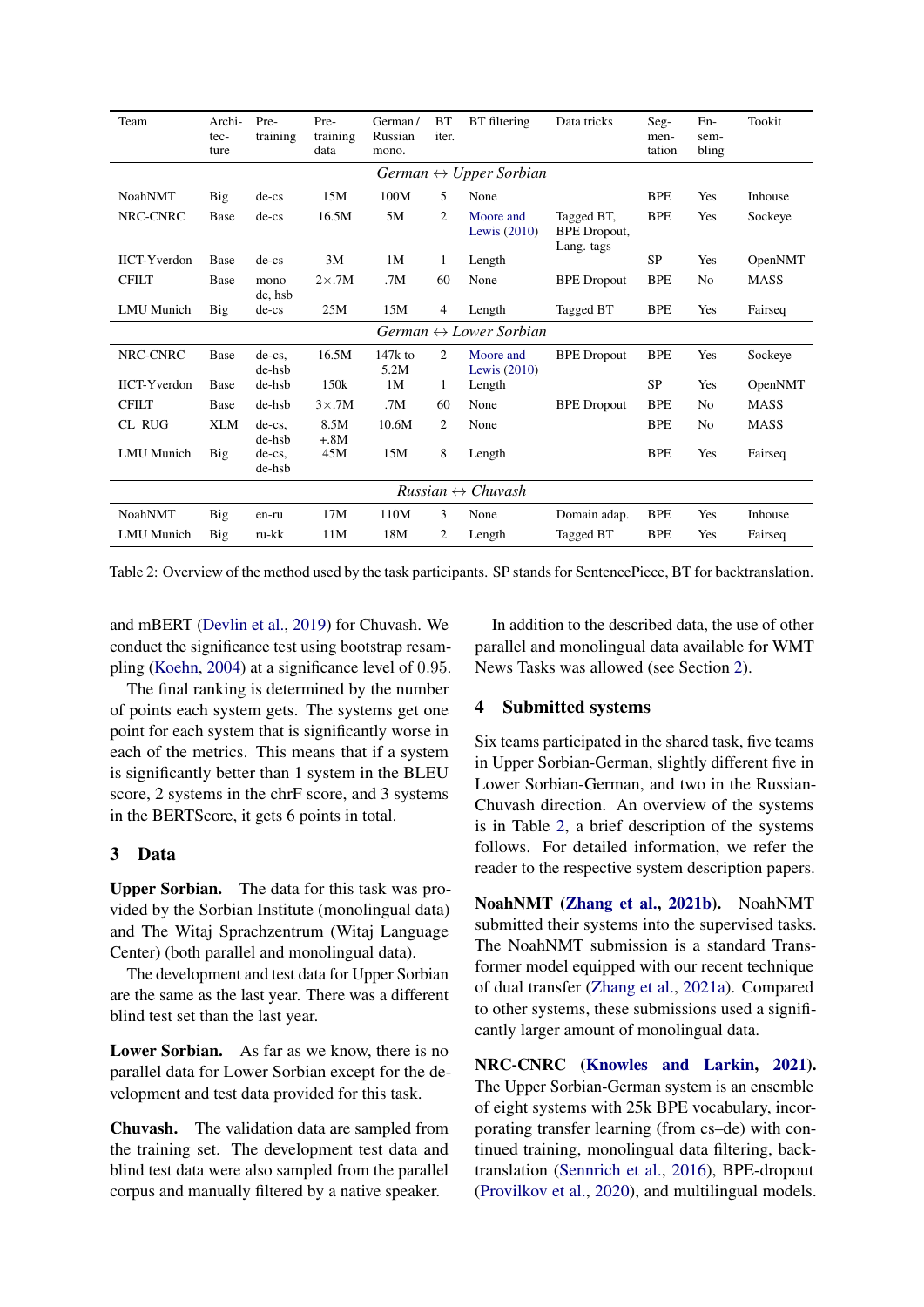<span id="page-2-1"></span>

| Team                              | Archi-<br>tec-<br>ture                 | Pre-<br>training    | Pre-<br>training<br>data | German/<br>Russian<br>mono. | <b>BT</b><br>iter. | BT filtering                           | Data tricks                                     | Seg-<br>men-<br>tation | $En-$<br>sem-<br>bling | Tookit      |  |
|-----------------------------------|----------------------------------------|---------------------|--------------------------|-----------------------------|--------------------|----------------------------------------|-------------------------------------------------|------------------------|------------------------|-------------|--|
|                                   | German $\leftrightarrow$ Upper Sorbian |                     |                          |                             |                    |                                        |                                                 |                        |                        |             |  |
| <b>NoahNMT</b>                    | Big                                    | $de-cs$             | 15M                      | 100M                        | 5                  | None                                   |                                                 | <b>BPE</b>             | Yes                    | Inhouse     |  |
| NRC-CNRC                          | <b>Base</b>                            | $de-cs$             | 16.5M                    | 5M                          | 2                  | Moore and<br>Lewis $(2010)$            | Tagged BT,<br><b>BPE</b> Dropout,<br>Lang. tags | <b>BPE</b>             | Yes                    | Sockeye     |  |
| <b>IICT-Yverdon</b>               | <b>Base</b>                            | $de-cs$             | 3M                       | 1M                          | $\mathbf{1}$       | Length                                 |                                                 | <b>SP</b>              | Yes                    | OpenNMT     |  |
| <b>CFILT</b>                      | Base                                   | mono<br>de, hsb     | $2\times$ .7M            | .7M                         | 60                 | None                                   | <b>BPE</b> Dropout                              | <b>BPE</b>             | No                     | <b>MASS</b> |  |
| <b>LMU</b> Munich                 | Big                                    | $de-cs$             | 25M                      | 15M                         | 4                  | Length                                 | Tagged BT                                       | <b>BPE</b>             | Yes                    | Fairseq     |  |
|                                   |                                        |                     |                          |                             |                    | German $\leftrightarrow$ Lower Sorbian |                                                 |                        |                        |             |  |
| NRC-CNRC                          | Base                                   | $de-cs$ ,<br>de-hsb | 16.5M                    | $147k$ to<br>5.2M           | 2                  | Moore and<br>Lewis $(2010)$            | <b>BPE</b> Dropout                              | <b>BPE</b>             | Yes                    | Sockeye     |  |
| <b>IICT-Yverdon</b>               | Base                                   | de-hsb              | 150k                     | 1M                          | 1                  | Length                                 |                                                 | <b>SP</b>              | Yes                    | OpenNMT     |  |
| <b>CFILT</b>                      | <b>Base</b>                            | de-hsb              | $3\times$ .7M            | .7M                         | 60                 | None                                   | <b>BPE</b> Dropout                              | <b>BPE</b>             | No                     | <b>MASS</b> |  |
| CL_RUG                            | <b>XLM</b>                             | de-cs,<br>de-hsb    | 8.5M<br>$+.8M$           | 10.6M                       | 2                  | None                                   |                                                 | <b>BPE</b>             | No                     | <b>MASS</b> |  |
| <b>LMU</b> Munich                 | Big                                    | de-cs,<br>de-hsb    | 45M                      | 15M                         | 8                  | Length                                 |                                                 | <b>BPE</b>             | Yes                    | Fairseq     |  |
| $Russian \leftrightarrow Chuvash$ |                                        |                     |                          |                             |                    |                                        |                                                 |                        |                        |             |  |
| <b>NoahNMT</b>                    | Big                                    | en-ru               | 17M                      | 110M                        | 3                  | None                                   | Domain adap.                                    | <b>BPE</b>             | Yes                    | Inhouse     |  |
| <b>LMU</b> Munich                 | Big                                    | ru-kk               | 11M                      | 18M                         | 2                  | Length                                 | Tagged BT                                       | <b>BPE</b>             | Yes                    | Fairseq     |  |

Table 2: Overview of the method used by the task participants. SP stands for SentencePiece, BT for backtranslation.

and mBERT [\(Devlin et al.,](#page-5-11) [2019\)](#page-5-11) for Chuvash. We conduct the significance test using bootstrap resampling [\(Koehn,](#page-5-12) [2004\)](#page-5-12) at a significance level of 0.95.

The final ranking is determined by the number of points each system gets. The systems get one point for each system that is significantly worse in each of the metrics. This means that if a system is significantly better than 1 system in the BLEU score, 2 systems in the chrF score, and 3 systems in the BERTScore, it gets 6 points in total.

### <span id="page-2-0"></span>3 Data

Upper Sorbian. The data for this task was provided by the Sorbian Institute (monolingual data) and The Witaj Sprachzentrum (Witaj Language Center) (both parallel and monolingual data).

The development and test data for Upper Sorbian are the same as the last year. There was a different blind test set than the last year.

Lower Sorbian. As far as we know, there is no parallel data for Lower Sorbian except for the development and test data provided for this task.

Chuvash. The validation data are sampled from the training set. The development test data and blind test data were also sampled from the parallel corpus and manually filtered by a native speaker.

In addition to the described data, the use of other parallel and monolingual data available for WMT News Tasks was allowed (see Section [2\)](#page-0-3).

### 4 Submitted systems

Six teams participated in the shared task, five teams in Upper Sorbian-German, slightly different five in Lower Sorbian-German, and two in the Russian-Chuvash direction. An overview of the systems is in Table [2,](#page-2-1) a brief description of the systems follows. For detailed information, we refer the reader to the respective system description papers.

NoahNMT [\(Zhang et al.,](#page-6-1) [2021b\)](#page-6-1). NoahNMT submitted their systems into the supervised tasks. The NoahNMT submission is a standard Transformer model equipped with our recent technique of dual transfer [\(Zhang et al.,](#page-6-2) [2021a\)](#page-6-2). Compared to other systems, these submissions used a significantly larger amount of monolingual data.

NRC-CNRC [\(Knowles and Larkin,](#page-5-13) [2021\)](#page-5-13). The Upper Sorbian-German system is an ensemble of eight systems with 25k BPE vocabulary, incorporating transfer learning (from cs–de) with continued training, monolingual data filtering, backtranslation [\(Sennrich et al.,](#page-5-14) [2016\)](#page-5-14), BPE-dropout [\(Provilkov et al.,](#page-5-15) [2020\)](#page-5-15), and multilingual models.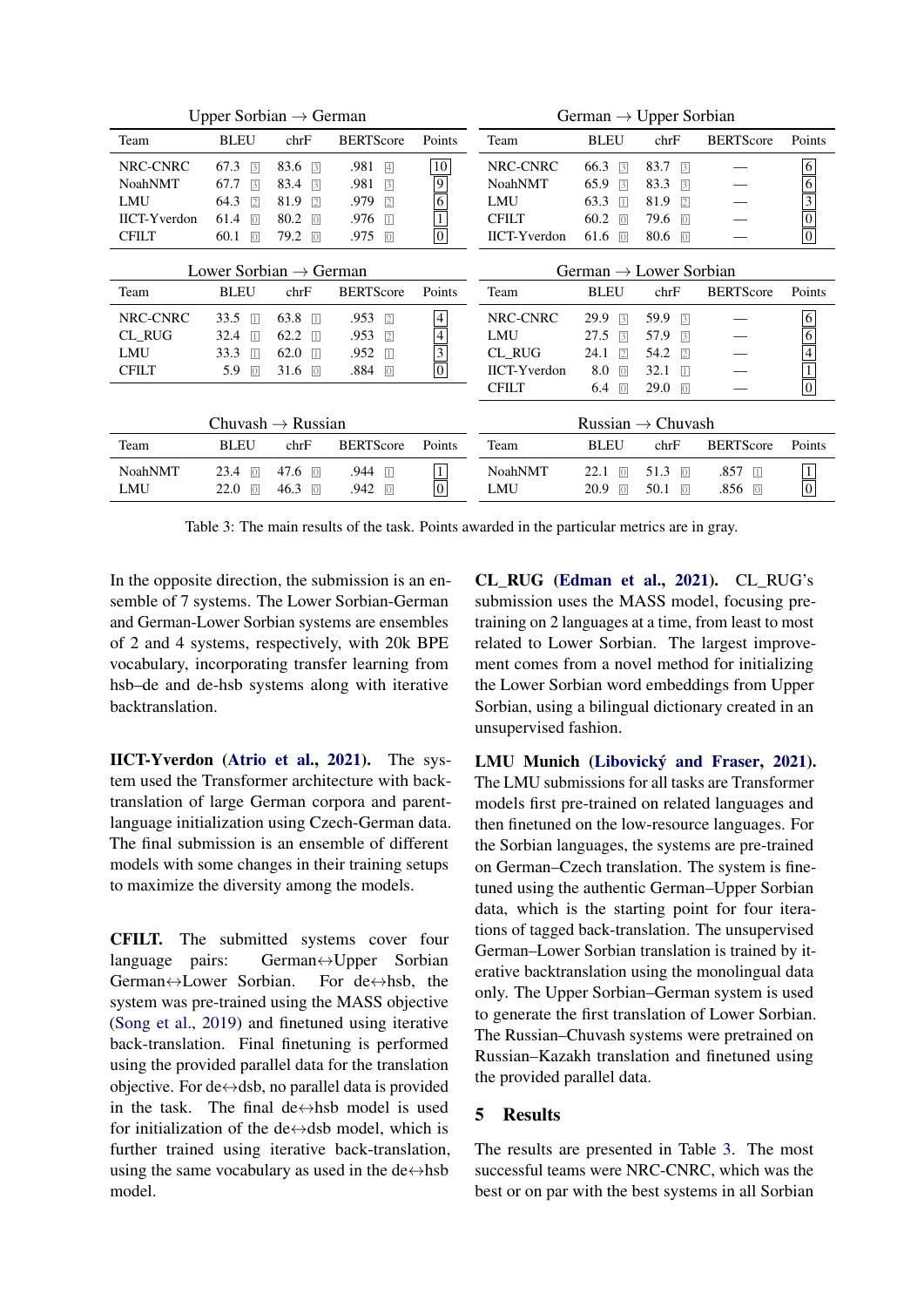<span id="page-3-0"></span>

| Upper Sorbian $\rightarrow$ German |                        |                        |                        | German $\rightarrow$ Upper Sorbian |                                    |                       |                        |                    |                                       |
|------------------------------------|------------------------|------------------------|------------------------|------------------------------------|------------------------------------|-----------------------|------------------------|--------------------|---------------------------------------|
| Team                               | <b>BLEU</b>            | chrF                   | <b>BERTScore</b>       | Points                             | Team                               | <b>BLEU</b>           | chrF                   | <b>BERTScore</b>   | Points                                |
| NRC-CNRC                           | 67.3<br>$\sqrt{3}$     | 83.6<br>$\overline{3}$ | .981<br>$\overline{4}$ | 10                                 | NRC-CNRC                           | 66.3<br>$\sqrt{3}$    | 83.7<br>$\sqrt{3}$     |                    |                                       |
| <b>NoahNMT</b>                     | 67.7<br>$\sqrt{3}$     | 83.4<br>$\sqrt{3}$     | .981<br>$\sqrt{3}$     | $\overline{9}$                     | <b>NoahNMT</b>                     | 65.9<br>$\sqrt{3}$    | 83.3<br>$\sqrt{3}$     |                    |                                       |
| <b>LMU</b>                         | 64.3<br>$\sqrt{2}$     | 81.9<br>$\sqrt{2}$     | .979<br>$\sqrt{2}$     | 6                                  | <b>LMU</b>                         | 63.3<br>$\Box$        | 81.9<br>$\sqrt{2}$     |                    |                                       |
| <b>IICT-Yverdon</b>                | 61.4<br> 0             | 80.2<br> 0             | .976<br>$\overline{1}$ |                                    | <b>CFILT</b>                       | 60.2<br>$\sqrt{0}$    | 79.6<br> 0             |                    |                                       |
| <b>CFILT</b>                       | 60.1<br>$\boxed{0}$    | 79.2<br>$\boxed{0}$    | .975<br>$\overline{0}$ | $\overline{0}$                     | <b>IICT-Yverdon</b>                | 61.6<br>$\boxed{0}$   | 80.6<br>$\boxed{0}$    |                    | $\frac{6}{\frac{3}{0}}$ $\frac{1}{0}$ |
| Lower Sorbian $\rightarrow$ German |                        |                        |                        |                                    | German $\rightarrow$ Lower Sorbian |                       |                        |                    |                                       |
| Team                               | <b>BLEU</b>            | chrF                   | <b>BERTScore</b>       | Points                             | Team                               | <b>BLEU</b>           | chrF                   | <b>BERTScore</b>   | Points                                |
| NRC-CNRC                           | 33.5<br>$\overline{1}$ | 63.8<br>$\Box$         | .953<br>$\sqrt{2}$     | $\overline{4}$                     | NRC-CNRC                           | 29.9<br>$\sqrt{3}$    | 59.9<br>$\sqrt{3}$     |                    | 6                                     |
| <b>CL_RUG</b>                      | 32.4<br>$\vert$        | 62.2<br>$\Box$         | .953<br>$\sqrt{2}$     | 4                                  | LMU                                | 27.5<br>$\sqrt{3}$    | 57.9<br>$\sqrt{3}$     |                    | 6                                     |
| <b>LMU</b>                         | 33.3<br>$\vert$        | 62.0<br>$\Box$         | .952<br>$\vert$        | $\overline{\overline{3}}$          | CL_RUG                             | 24.1<br>$\sqrt{2}$    | 54.2<br>$\sqrt{2}$     |                    | $\frac{1}{4}$                         |
| <b>CFILT</b>                       | 5.9<br>$\overline{0}$  | 31.6<br> 0             | .884<br>$\overline{0}$ | $\boxed{0}$                        | <b>IICT-Yverdon</b>                | 8.0<br>$\overline{0}$ | 32.1<br>$\Box$         |                    |                                       |
|                                    |                        |                        |                        |                                    | <b>CFILT</b>                       | 6.4<br>$\boxed{0}$    | 29.0<br>$\sqrt{0}$     |                    | $\frac{1}{0}$                         |
| Chuvash $\rightarrow$ Russian      |                        |                        |                        |                                    | Russian $\rightarrow$ Chuvash      |                       |                        |                    |                                       |
| Team                               | <b>BLEU</b>            | chrF                   | <b>BERTScore</b>       | Points                             | Team                               | <b>BLEU</b>           | chrF                   | <b>BERTScore</b>   | Points                                |
| <b>NoahNMT</b>                     | 23.4<br>$\overline{0}$ | 47.6<br>$\sqrt{0}$     | .944<br>$\Box$         | $\mathbf{1}$                       | <b>NoahNMT</b>                     | 22.1<br>$\sqrt{0}$    | 51.3<br>$\overline{0}$ | .857<br>$\Box$     | $\overline{1}$                        |
| LMU                                | 22.0<br> 0             | 46.3<br>$\sqrt{0}$     | .942<br>$\sqrt{0}$     | $\boxed{0}$                        | <b>LMU</b>                         | 20.9<br>$\sqrt{0}$    | 50.1<br>$\sqrt{0}$     | .856<br>$\sqrt{0}$ | $\overline{0}$                        |

Table 3: The main results of the task. Points awarded in the particular metrics are in gray.

In the opposite direction, the submission is an ensemble of 7 systems. The Lower Sorbian-German and German-Lower Sorbian systems are ensembles of 2 and 4 systems, respectively, with 20k BPE vocabulary, incorporating transfer learning from hsb–de and de-hsb systems along with iterative backtranslation.

IICT-Yverdon [\(Atrio et al.,](#page-4-3) [2021\)](#page-4-3). The system used the Transformer architecture with backtranslation of large German corpora and parentlanguage initialization using Czech-German data. The final submission is an ensemble of different models with some changes in their training setups to maximize the diversity among the models.

CFILT. The submitted systems cover four language pairs: German↔Upper Sorbian German↔Lower Sorbian. For de↔hsb, the system was pre-trained using the MASS objective [\(Song et al.,](#page-6-3) [2019\)](#page-6-3) and finetuned using iterative back-translation. Final finetuning is performed using the provided parallel data for the translation objective. For de $\leftrightarrow$ dsb, no parallel data is provided in the task. The final de $\leftrightarrow$ hsb model is used for initialization of the de $\leftrightarrow$ dsb model, which is further trained using iterative back-translation, using the same vocabulary as used in the de $\leftrightarrow$ hsb model.

CL\_RUG [\(Edman et al.,](#page-5-16) [2021\)](#page-5-16). CL\_RUG's submission uses the MASS model, focusing pretraining on 2 languages at a time, from least to most related to Lower Sorbian. The largest improvement comes from a novel method for initializing the Lower Sorbian word embeddings from Upper Sorbian, using a bilingual dictionary created in an unsupervised fashion.

LMU Munich [\(Libovický and Fraser,](#page-5-17) [2021\)](#page-5-17). The LMU submissions for all tasks are Transformer models first pre-trained on related languages and then finetuned on the low-resource languages. For the Sorbian languages, the systems are pre-trained on German–Czech translation. The system is finetuned using the authentic German–Upper Sorbian data, which is the starting point for four iterations of tagged back-translation. The unsupervised German–Lower Sorbian translation is trained by iterative backtranslation using the monolingual data only. The Upper Sorbian–German system is used to generate the first translation of Lower Sorbian. The Russian–Chuvash systems were pretrained on Russian–Kazakh translation and finetuned using the provided parallel data.

## 5 Results

The results are presented in Table [3.](#page-3-0) The most successful teams were NRC-CNRC, which was the best or on par with the best systems in all Sorbian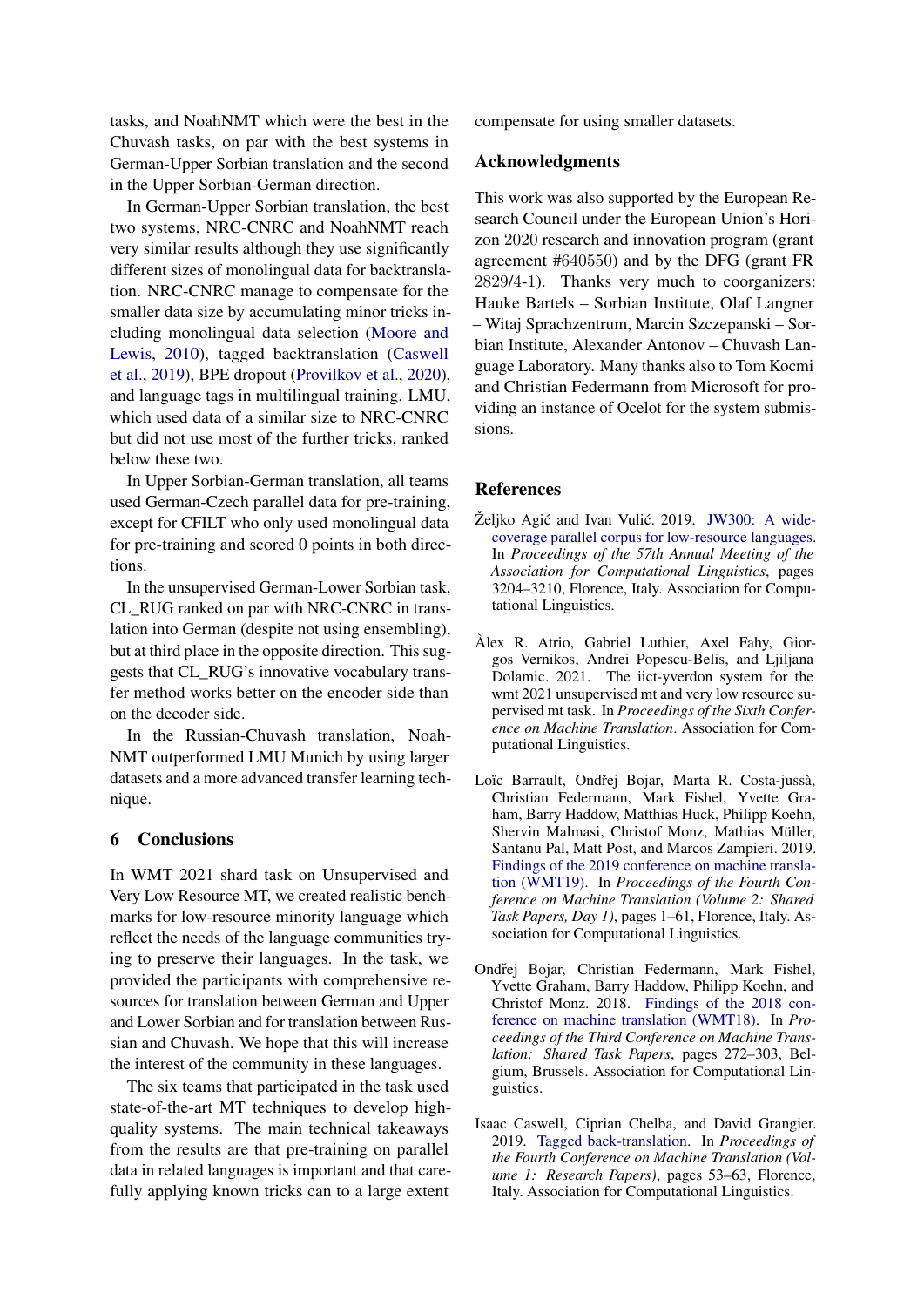tasks, and NoahNMT which were the best in the Chuvash tasks, on par with the best systems in German-Upper Sorbian translation and the second in the Upper Sorbian-German direction.

In German-Upper Sorbian translation, the best two systems, NRC-CNRC and NoahNMT reach very similar results although they use significantly different sizes of monolingual data for backtranslation. NRC-CNRC manage to compensate for the smaller data size by accumulating minor tricks including monolingual data selection [\(Moore and](#page-5-10) [Lewis,](#page-5-10) [2010\)](#page-5-10), tagged backtranslation [\(Caswell](#page-4-4) [et al.,](#page-4-4) [2019\)](#page-4-4), BPE dropout [\(Provilkov et al.,](#page-5-15) [2020\)](#page-5-15), and language tags in multilingual training. LMU, which used data of a similar size to NRC-CNRC but did not use most of the further tricks, ranked below these two.

In Upper Sorbian-German translation, all teams used German-Czech parallel data for pre-training, except for CFILT who only used monolingual data for pre-training and scored 0 points in both directions.

In the unsupervised German-Lower Sorbian task, CL\_RUG ranked on par with NRC-CNRC in translation into German (despite not using ensembling), but at third place in the opposite direction. This suggests that CL\_RUG's innovative vocabulary transfer method works better on the encoder side than on the decoder side.

In the Russian-Chuvash translation, Noah-NMT outperformed LMU Munich by using larger datasets and a more advanced transfer learning technique.

### 6 Conclusions

In WMT 2021 shard task on Unsupervised and Very Low Resource MT, we created realistic benchmarks for low-resource minority language which reflect the needs of the language communities trying to preserve their languages. In the task, we provided the participants with comprehensive resources for translation between German and Upper and Lower Sorbian and for translation between Russian and Chuvash. We hope that this will increase the interest of the community in these languages.

The six teams that participated in the task used state-of-the-art MT techniques to develop highquality systems. The main technical takeaways from the results are that pre-training on parallel data in related languages is important and that carefully applying known tricks can to a large extent compensate for using smaller datasets.

### Acknowledgments

This work was also supported by the European Research Council under the European Union's Horizon 2020 research and innovation program (grant agreement #640550) and by the DFG (grant FR 2829/4-1). Thanks very much to coorganizers: Hauke Bartels – Sorbian Institute, Olaf Langner – Witaj Sprachzentrum, Marcin Szczepanski – Sorbian Institute, Alexander Antonov – Chuvash Language Laboratory. Many thanks also to Tom Kocmi and Christian Federmann from Microsoft for providing an instance of Ocelot for the system submissions.

#### **References**

- <span id="page-4-2"></span>Željko Agić and Ivan Vulić. 2019. [JW300: A wide](https://doi.org/10.18653/v1/P19-1310)[coverage parallel corpus for low-resource languages.](https://doi.org/10.18653/v1/P19-1310) In *Proceedings of the 57th Annual Meeting of the Association for Computational Linguistics*, pages 3204–3210, Florence, Italy. Association for Computational Linguistics.
- <span id="page-4-3"></span>Àlex R. Atrio, Gabriel Luthier, Axel Fahy, Giorgos Vernikos, Andrei Popescu-Belis, and Ljiljana Dolamic. 2021. The iict-yverdon system for the wmt 2021 unsupervised mt and very low resource supervised mt task. In *Proceedings of the Sixth Conference on Machine Translation*. Association for Computational Linguistics.
- <span id="page-4-1"></span>Loïc Barrault, Ondřej Bojar, Marta R. Costa-jussà, Christian Federmann, Mark Fishel, Yvette Graham, Barry Haddow, Matthias Huck, Philipp Koehn, Shervin Malmasi, Christof Monz, Mathias Müller, Santanu Pal, Matt Post, and Marcos Zampieri. 2019. [Findings of the 2019 conference on machine transla](https://doi.org/10.18653/v1/W19-5301)[tion \(WMT19\).](https://doi.org/10.18653/v1/W19-5301) In *Proceedings of the Fourth Conference on Machine Translation (Volume 2: Shared Task Papers, Day 1)*, pages 1–61, Florence, Italy. Association for Computational Linguistics.
- <span id="page-4-0"></span>Ondřej Bojar, Christian Federmann, Mark Fishel, Yvette Graham, Barry Haddow, Philipp Koehn, and Christof Monz. 2018. [Findings of the 2018 con](https://doi.org/10.18653/v1/W18-6401)[ference on machine translation \(WMT18\).](https://doi.org/10.18653/v1/W18-6401) In *Proceedings of the Third Conference on Machine Translation: Shared Task Papers*, pages 272–303, Belgium, Brussels. Association for Computational Linguistics.
- <span id="page-4-4"></span>Isaac Caswell, Ciprian Chelba, and David Grangier. 2019. [Tagged back-translation.](https://doi.org/10.18653/v1/W19-5206) In *Proceedings of the Fourth Conference on Machine Translation (Volume 1: Research Papers)*, pages 53–63, Florence, Italy. Association for Computational Linguistics.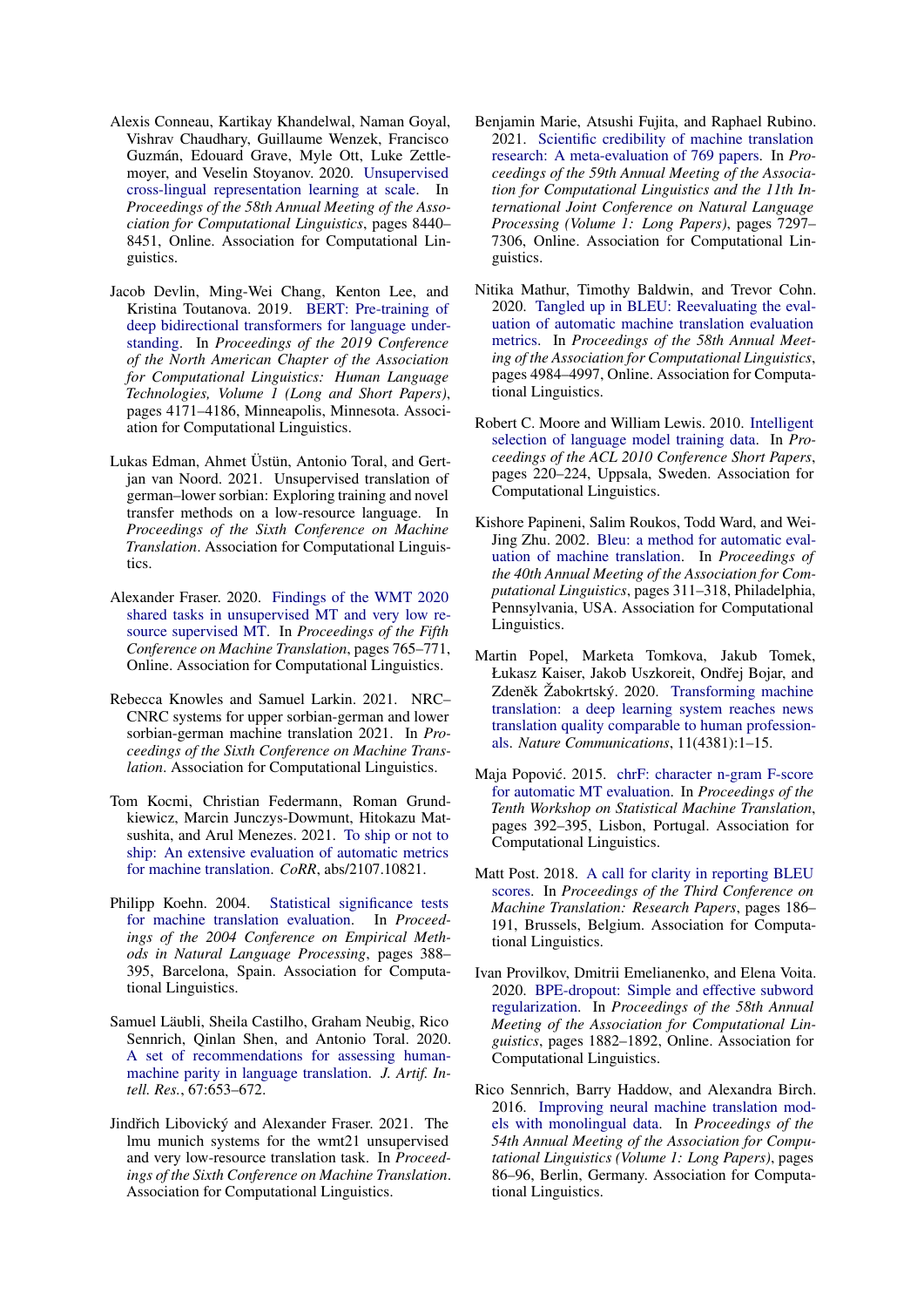- <span id="page-5-9"></span>Alexis Conneau, Kartikay Khandelwal, Naman Goyal, Vishrav Chaudhary, Guillaume Wenzek, Francisco Guzmán, Edouard Grave, Myle Ott, Luke Zettlemoyer, and Veselin Stoyanov. 2020. [Unsupervised](https://doi.org/10.18653/v1/2020.acl-main.747) [cross-lingual representation learning at scale.](https://doi.org/10.18653/v1/2020.acl-main.747) In *Proceedings of the 58th Annual Meeting of the Association for Computational Linguistics*, pages 8440– 8451, Online. Association for Computational Linguistics.
- <span id="page-5-11"></span>Jacob Devlin, Ming-Wei Chang, Kenton Lee, and Kristina Toutanova. 2019. [BERT: Pre-training of](https://doi.org/10.18653/v1/N19-1423) [deep bidirectional transformers for language under](https://doi.org/10.18653/v1/N19-1423)[standing.](https://doi.org/10.18653/v1/N19-1423) In *Proceedings of the 2019 Conference of the North American Chapter of the Association for Computational Linguistics: Human Language Technologies, Volume 1 (Long and Short Papers)*, pages 4171–4186, Minneapolis, Minnesota. Association for Computational Linguistics.
- <span id="page-5-16"></span>Lukas Edman, Ahmet Üstün, Antonio Toral, and Gertjan van Noord. 2021. Unsupervised translation of german–lower sorbian: Exploring training and novel transfer methods on a low-resource language. In *Proceedings of the Sixth Conference on Machine Translation*. Association for Computational Linguistics.
- <span id="page-5-2"></span>Alexander Fraser. 2020. [Findings of the WMT 2020](https://aclanthology.org/2020.wmt-1.80) [shared tasks in unsupervised MT and very low re](https://aclanthology.org/2020.wmt-1.80)[source supervised MT.](https://aclanthology.org/2020.wmt-1.80) In *Proceedings of the Fifth Conference on Machine Translation*, pages 765–771, Online. Association for Computational Linguistics.
- <span id="page-5-13"></span>Rebecca Knowles and Samuel Larkin. 2021. NRC– CNRC systems for upper sorbian-german and lower sorbian-german machine translation 2021. In *Proceedings of the Sixth Conference on Machine Translation*. Association for Computational Linguistics.
- <span id="page-5-5"></span>Tom Kocmi, Christian Federmann, Roman Grundkiewicz, Marcin Junczys-Dowmunt, Hitokazu Matsushita, and Arul Menezes. 2021. [To ship or not to](http://arxiv.org/abs/2107.10821) [ship: An extensive evaluation of automatic metrics](http://arxiv.org/abs/2107.10821) [for machine translation.](http://arxiv.org/abs/2107.10821) *CoRR*, abs/2107.10821.
- <span id="page-5-12"></span>Philipp Koehn. 2004. [Statistical significance tests](https://aclanthology.org/W04-3250) [for machine translation evaluation.](https://aclanthology.org/W04-3250) In *Proceedings of the 2004 Conference on Empirical Methods in Natural Language Processing*, pages 388– 395, Barcelona, Spain. Association for Computational Linguistics.
- <span id="page-5-1"></span>Samuel Läubli, Sheila Castilho, Graham Neubig, Rico Sennrich, Qinlan Shen, and Antonio Toral. 2020. [A set of recommendations for assessing human](https://doi.org/10.1613/jair.1.11371)[machine parity in language translation.](https://doi.org/10.1613/jair.1.11371) *J. Artif. Intell. Res.*, 67:653–672.
- <span id="page-5-17"></span>Jindřich Libovický and Alexander Fraser. 2021. The lmu munich systems for the wmt21 unsupervised and very low-resource translation task. In *Proceedings of the Sixth Conference on Machine Translation*. Association for Computational Linguistics.
- <span id="page-5-4"></span>Benjamin Marie, Atsushi Fujita, and Raphael Rubino. 2021. [Scientific credibility of machine translation](https://doi.org/10.18653/v1/2021.acl-long.566) [research: A meta-evaluation of 769 papers.](https://doi.org/10.18653/v1/2021.acl-long.566) In *Proceedings of the 59th Annual Meeting of the Association for Computational Linguistics and the 11th International Joint Conference on Natural Language Processing (Volume 1: Long Papers)*, pages 7297– 7306, Online. Association for Computational Linguistics.
- <span id="page-5-3"></span>Nitika Mathur, Timothy Baldwin, and Trevor Cohn. 2020. [Tangled up in BLEU: Reevaluating the eval](https://doi.org/10.18653/v1/2020.acl-main.448)[uation of automatic machine translation evaluation](https://doi.org/10.18653/v1/2020.acl-main.448) [metrics.](https://doi.org/10.18653/v1/2020.acl-main.448) In *Proceedings of the 58th Annual Meeting of the Association for Computational Linguistics*, pages 4984–4997, Online. Association for Computational Linguistics.
- <span id="page-5-10"></span>Robert C. Moore and William Lewis. 2010. [Intelligent](https://aclanthology.org/P10-2041) [selection of language model training data.](https://aclanthology.org/P10-2041) In *Proceedings of the ACL 2010 Conference Short Papers*, pages 220–224, Uppsala, Sweden. Association for Computational Linguistics.
- <span id="page-5-6"></span>Kishore Papineni, Salim Roukos, Todd Ward, and Wei-Jing Zhu. 2002. [Bleu: a method for automatic eval](https://doi.org/10.3115/1073083.1073135)[uation of machine translation.](https://doi.org/10.3115/1073083.1073135) In *Proceedings of the 40th Annual Meeting of the Association for Computational Linguistics*, pages 311–318, Philadelphia, Pennsylvania, USA. Association for Computational Linguistics.
- <span id="page-5-0"></span>Martin Popel, Marketa Tomkova, Jakub Tomek, Łukasz Kaiser, Jakob Uszkoreit, Ondřej Bojar, and Zdeněk Žabokrtský. 2020. [Transforming machine](https://doi.org/10.1038/s41467-020-18073-9) [translation: a deep learning system reaches news](https://doi.org/10.1038/s41467-020-18073-9) [translation quality comparable to human profession](https://doi.org/10.1038/s41467-020-18073-9)[als.](https://doi.org/10.1038/s41467-020-18073-9) *Nature Communications*, 11(4381):1–15.
- <span id="page-5-7"></span>Maja Popović. 2015. [chrF: character n-gram F-score](https://doi.org/10.18653/v1/W15-3049) [for automatic MT evaluation.](https://doi.org/10.18653/v1/W15-3049) In *Proceedings of the Tenth Workshop on Statistical Machine Translation*, pages 392–395, Lisbon, Portugal. Association for Computational Linguistics.
- <span id="page-5-8"></span>Matt Post. 2018. [A call for clarity in reporting BLEU](https://doi.org/10.18653/v1/W18-6319) [scores.](https://doi.org/10.18653/v1/W18-6319) In *Proceedings of the Third Conference on Machine Translation: Research Papers*, pages 186– 191, Brussels, Belgium. Association for Computational Linguistics.
- <span id="page-5-15"></span>Ivan Provilkov, Dmitrii Emelianenko, and Elena Voita. 2020. [BPE-dropout: Simple and effective subword](https://doi.org/10.18653/v1/2020.acl-main.170) [regularization.](https://doi.org/10.18653/v1/2020.acl-main.170) In *Proceedings of the 58th Annual Meeting of the Association for Computational Linguistics*, pages 1882–1892, Online. Association for Computational Linguistics.
- <span id="page-5-14"></span>Rico Sennrich, Barry Haddow, and Alexandra Birch. 2016. [Improving neural machine translation mod](https://doi.org/10.18653/v1/P16-1009)[els with monolingual data.](https://doi.org/10.18653/v1/P16-1009) In *Proceedings of the 54th Annual Meeting of the Association for Computational Linguistics (Volume 1: Long Papers)*, pages 86–96, Berlin, Germany. Association for Computational Linguistics.